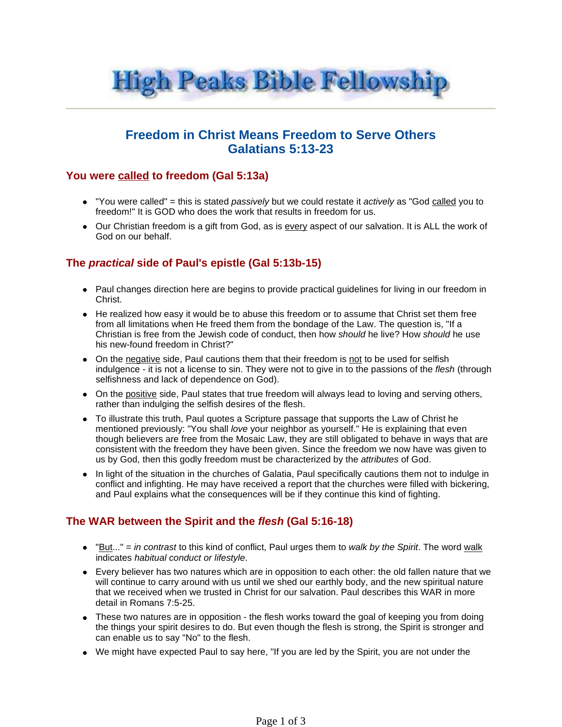

# **Freedom in Christ Means Freedom to Serve Others Galatians 5:13-23**

#### **You were called to freedom (Gal 5:13a)**

- $\bullet$  "You were called" = this is stated passively but we could restate it actively as "God called you to freedom!" It is GOD who does the work that results in freedom for us.
- Our Christian freedom is a gift from God, as is every aspect of our salvation. It is ALL the work of God on our behalf.

### **The practical side of Paul's epistle (Gal 5:13b-15)**

- Paul changes direction here are begins to provide practical guidelines for living in our freedom in Christ.
- He realized how easy it would be to abuse this freedom or to assume that Christ set them free from all limitations when He freed them from the bondage of the Law. The question is, "If a Christian is free from the Jewish code of conduct, then how should he live? How should he use his new-found freedom in Christ?"
- On the negative side, Paul cautions them that their freedom is not to be used for selfish indulgence - it is not a license to sin. They were not to give in to the passions of the flesh (through selfishness and lack of dependence on God).
- On the positive side, Paul states that true freedom will always lead to loving and serving others, rather than indulging the selfish desires of the flesh.
- To illustrate this truth, Paul quotes a Scripture passage that supports the Law of Christ he mentioned previously: "You shall love your neighbor as yourself." He is explaining that even though believers are free from the Mosaic Law, they are still obligated to behave in ways that are consistent with the freedom they have been given. Since the freedom we now have was given to us by God, then this godly freedom must be characterized by the attributes of God.
- In light of the situation in the churches of Galatia, Paul specifically cautions them not to indulge in conflict and infighting. He may have received a report that the churches were filled with bickering, and Paul explains what the consequences will be if they continue this kind of fighting.

### **The WAR between the Spirit and the flesh (Gal 5:16-18)**

- $\bullet$  "But..." = in contrast to this kind of conflict, Paul urges them to walk by the Spirit. The word walk indicates habitual conduct or lifestyle.
- Every believer has two natures which are in opposition to each other: the old fallen nature that we will continue to carry around with us until we shed our earthly body, and the new spiritual nature that we received when we trusted in Christ for our salvation. Paul describes this WAR in more detail in Romans 7:5-25.
- These two natures are in opposition the flesh works toward the goal of keeping you from doing the things your spirit desires to do. But even though the flesh is strong, the Spirit is stronger and can enable us to say "No" to the flesh.
- We might have expected Paul to say here, "If you are led by the Spirit, you are not under the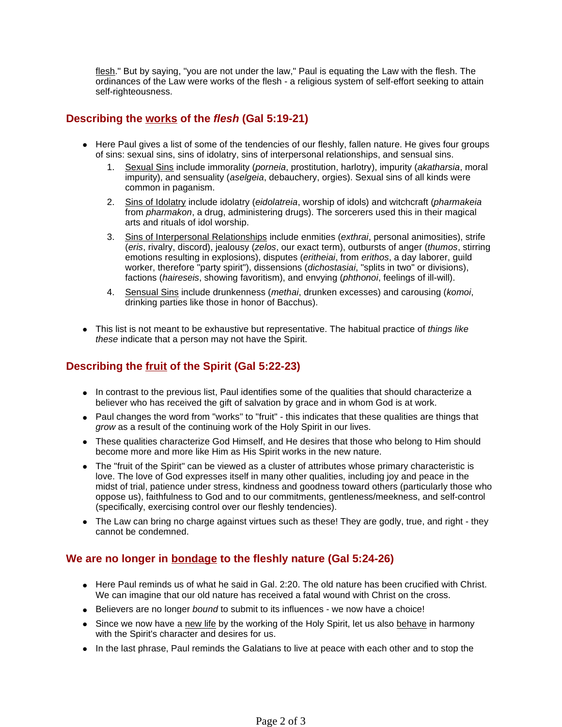flesh." But by saying, "you are not under the law," Paul is equating the Law with the flesh. The ordinances of the Law were works of the flesh - a religious system of self-effort seeking to attain self-righteousness.

### **Describing the works of the flesh (Gal 5:19-21)**

- Here Paul gives a list of some of the tendencies of our fleshly, fallen nature. He gives four groups of sins: sexual sins, sins of idolatry, sins of interpersonal relationships, and sensual sins.
	- 1. Sexual Sins include immorality (porneia, prostitution, harlotry), impurity (akatharsia, moral impurity), and sensuality (aselgeia, debauchery, orgies). Sexual sins of all kinds were common in paganism.
	- 2. Sins of Idolatry include idolatry (eidolatreia, worship of idols) and witchcraft (pharmakeia from *pharmakon*, a drug, administering drugs). The sorcerers used this in their magical arts and rituals of idol worship.
	- 3. Sins of Interpersonal Relationships include enmities (exthrai, personal animosities), strife (eris, rivalry, discord), jealousy (zelos, our exact term), outbursts of anger (thumos, stirring emotions resulting in explosions), disputes (eritheiai, from erithos, a day laborer, guild worker, therefore "party spirit"), dissensions (dichostasiai, "splits in two" or divisions), factions (haireseis, showing favoritism), and envying (phthonoi, feelings of ill-will).
	- 4. Sensual Sins include drunkenness (methai, drunken excesses) and carousing (komoi, drinking parties like those in honor of Bacchus).
- This list is not meant to be exhaustive but representative. The habitual practice of things like these indicate that a person may not have the Spirit.

# **Describing the fruit of the Spirit (Gal 5:22-23)**

- In contrast to the previous list, Paul identifies some of the qualities that should characterize a believer who has received the gift of salvation by grace and in whom God is at work.
- Paul changes the word from "works" to "fruit" this indicates that these qualities are things that grow as a result of the continuing work of the Holy Spirit in our lives.
- These qualities characterize God Himself, and He desires that those who belong to Him should become more and more like Him as His Spirit works in the new nature.
- The "fruit of the Spirit" can be viewed as a cluster of attributes whose primary characteristic is love. The love of God expresses itself in many other qualities, including joy and peace in the midst of trial, patience under stress, kindness and goodness toward others (particularly those who oppose us), faithfulness to God and to our commitments, gentleness/meekness, and self-control (specifically, exercising control over our fleshly tendencies).
- The Law can bring no charge against virtues such as these! They are godly, true, and right they cannot be condemned.

### **We are no longer in bondage to the fleshly nature (Gal 5:24-26)**

- Here Paul reminds us of what he said in Gal. 2:20. The old nature has been crucified with Christ. We can imagine that our old nature has received a fatal wound with Christ on the cross.
- **Believers are no longer bound to submit to its influences we now have a choice!**
- Since we now have a new life by the working of the Holy Spirit, let us also behave in harmony with the Spirit's character and desires for us.
- In the last phrase, Paul reminds the Galatians to live at peace with each other and to stop the